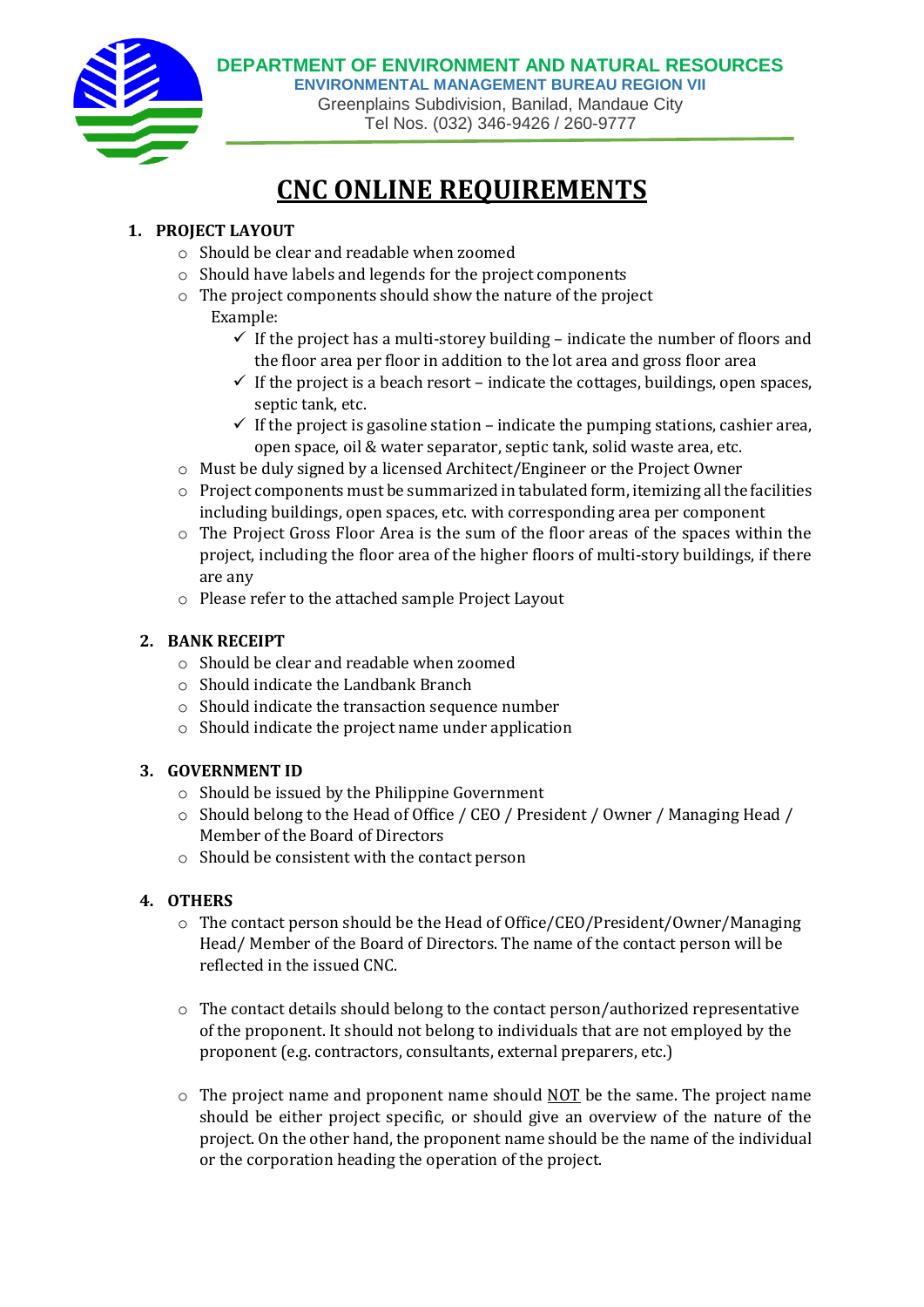

# **CNC ONLINE REQUIREMENTS**

### **1. PROJECT LAYOUT**

- o Should be clear and readable when zoomed
- o Should have labels and legends for the project components
- o The project components should show the nature of the project Example:
	- $\checkmark$  If the project has a multi-storey building indicate the number of floors and the floor area per floor in addition to the lot area and gross floor area
	- $\checkmark$  If the project is a beach resort indicate the cottages, buildings, open spaces, septic tank, etc.
	- $\checkmark$  If the project is gasoline station indicate the pumping stations, cashier area, open space, oil & water separator, septic tank, solid waste area, etc.
- o Must be duly signed by a licensed Architect/Engineer or the Project Owner
- $\circ$  Project components must be summarized in tabulated form, itemizing all the facilities including buildings, open spaces, etc. with corresponding area per component
- o The Project Gross Floor Area is the sum of the floor areas of the spaces within the project, including the floor area of the higher floors of multi-story buildings, if there are any
- o Please refer to the attached sample Project Layout

#### **2. BANK RECEIPT**

- o Should be clear and readable when zoomed
- o Should indicate the Landbank Branch
- o Should indicate the transaction sequence number
- o Should indicate the project name under application

#### **3. GOVERNMENT ID**

- o Should be issued by the Philippine Government
- o Should belong to the Head of Office / CEO / President / Owner / Managing Head / Member of the Board of Directors
- o Should be consistent with the contact person

#### **4. OTHERS**

- $\circ$  The contact person should be the Head of Office/CEO/President/Owner/Managing Head/ Member of the Board of Directors. The name of the contact person will be reflected in the issued CNC.
- o The contact details should belong to the contact person/authorized representative of the proponent. It should not belong to individuals that are not employed by the proponent (e.g. contractors, consultants, external preparers, etc.)
- $\circ$  The project name and proponent name should NOT be the same. The project name should be either project specific, or should give an overview of the nature of the project. On the other hand, the proponent name should be the name of the individual or the corporation heading the operation of the project.